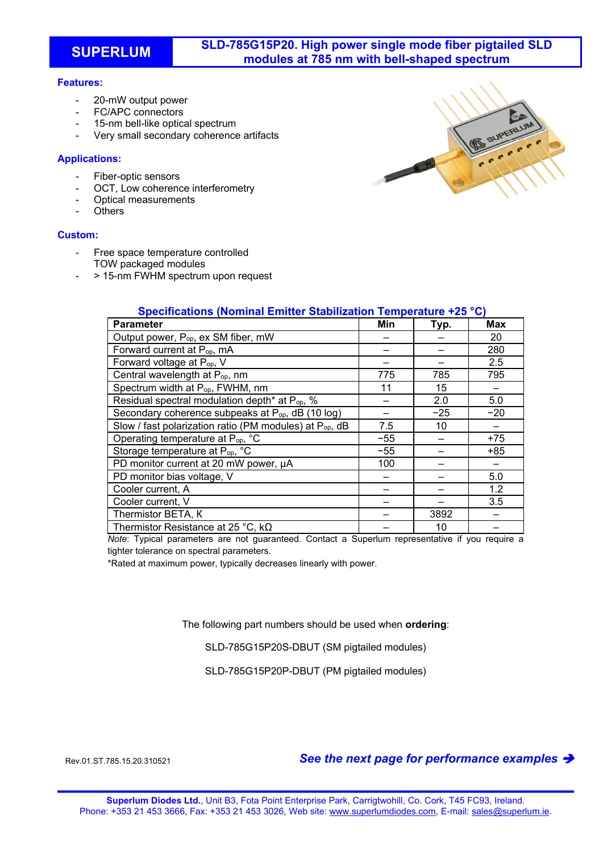# **SUPERLUM SLD-785G15P20. High power single mode fiber pigtailed SLD modules at 785 nm with bell-shaped spectrum**

## **Features:**

- 20-mW output power
- FC/APC connectors
- 15-nm bell-like optical spectrum
- Very small secondary coherence artifacts

### **Applications:**

- Fiber-optic sensors
- OCT. Low coherence interferometry
- Optical measurements
- **Others**

### **Custom:**

- Free space temperature controlled TOW packaged modules
- > 15-nm FWHM spectrum upon request

| <b>Parameter</b>                                                    | Min   | Typ.  | <b>Max</b> |
|---------------------------------------------------------------------|-------|-------|------------|
| Output power, P <sub>op</sub> , ex SM fiber, mW                     |       |       | 20         |
| Forward current at P <sub>op</sub> , mA                             |       |       | 280        |
| Forward voltage at P <sub>op</sub> , V                              |       |       | 2.5        |
| Central wavelength at P <sub>op</sub> , nm                          | 775   | 785   | 795        |
| Spectrum width at P <sub>op</sub> , FWHM, nm                        | 11    | 15    |            |
| Residual spectral modulation depth* at P <sub>op</sub> , %          |       | 2.0   | 5.0        |
| Secondary coherence subpeaks at P <sub>op</sub> , dB (10 log)       |       | $-25$ | $-20$      |
| Slow / fast polarization ratio (PM modules) at P <sub>op</sub> , dB | 7.5   | 10    |            |
| Operating temperature at P <sub>op</sub> , °C                       | $-55$ |       | $+75$      |
| Storage temperature at P <sub>op, °</sub> C                         | $-55$ |       | $+85$      |
| PD monitor current at 20 mW power, µA                               | 100   |       |            |
| PD monitor bias voltage, V                                          |       |       | 5.0        |
| Cooler current, A                                                   |       |       | 1.2        |
| Cooler current, V                                                   |       |       | 3.5        |
| Thermistor BETA, K                                                  |       | 3892  |            |
| Thermistor Resistance at 25 °C, $k\Omega$                           |       | 10    |            |

**Specifications (Nominal Emitter Stabilization Temperature +25 °C)** 

*Note*: Typical parameters are not guaranteed. Contact a Superlum representative if you require a tighter tolerance on spectral parameters.

\*Rated at maximum power, typically decreases linearly with power.

The following part numbers should be used when **ordering**:

SLD-785G15P20S-DBUT (SM pigtailed modules)

SLD-785G15P20P-DBUT (PM pigtailed modules)

# Rev.01.ST.785.15.20.310521 *See the next page for performance examples*

**Superlum Diodes Ltd.**, Unit B3, Fota Point Enterprise Park, Carrigtwohill, Co. Cork, T45 FC93, Ireland. Phone: +353 21 453 3666, Fax: +353 21 453 3026, Web site: www.superlumdiodes.com, E-mail: sales@superlum.ie.